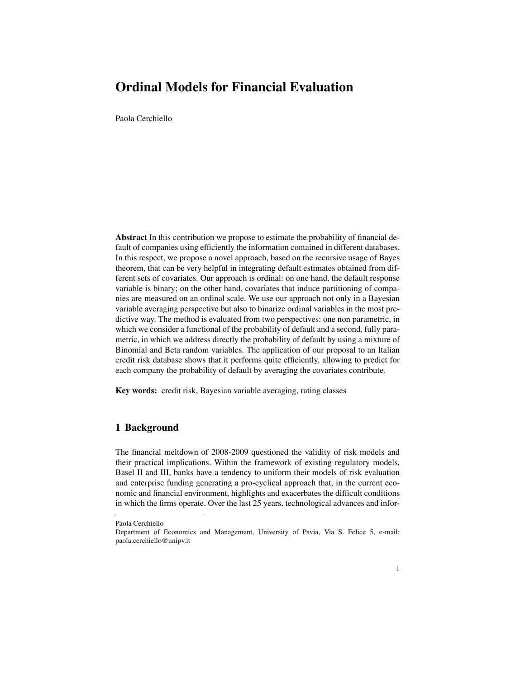# Ordinal Models for Financial Evaluation

Paola Cerchiello

Abstract In this contribution we propose to estimate the probability of financial default of companies using efficiently the information contained in different databases. In this respect, we propose a novel approach, based on the recursive usage of Bayes theorem, that can be very helpful in integrating default estimates obtained from different sets of covariates. Our approach is ordinal: on one hand, the default response variable is binary; on the other hand, covariates that induce partitioning of companies are measured on an ordinal scale. We use our approach not only in a Bayesian variable averaging perspective but also to binarize ordinal variables in the most predictive way. The method is evaluated from two perspectives: one non parametric, in which we consider a functional of the probability of default and a second, fully parametric, in which we address directly the probability of default by using a mixture of Binomial and Beta random variables. The application of our proposal to an Italian credit risk database shows that it performs quite efficiently, allowing to predict for each company the probability of default by averaging the covariates contribute.

Key words: credit risk, Bayesian variable averaging, rating classes

#### 1 Background

The financial meltdown of 2008-2009 questioned the validity of risk models and their practical implications. Within the framework of existing regulatory models, Basel II and III, banks have a tendency to uniform their models of risk evaluation and enterprise funding generating a pro-cyclical approach that, in the current economic and financial environment, highlights and exacerbates the difficult conditions in which the firms operate. Over the last 25 years, technological advances and infor-

Paola Cerchiello

Department of Economics and Management, University of Pavia, Via S. Felice 5, e-mail: paola.cerchiello@unipv.it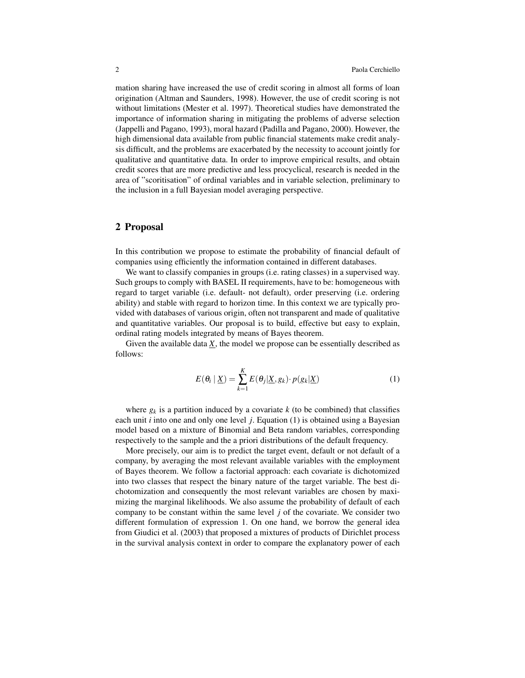mation sharing have increased the use of credit scoring in almost all forms of loan origination (Altman and Saunders, 1998). However, the use of credit scoring is not without limitations (Mester et al. 1997). Theoretical studies have demonstrated the importance of information sharing in mitigating the problems of adverse selection (Jappelli and Pagano, 1993), moral hazard (Padilla and Pagano, 2000). However, the high dimensional data available from public financial statements make credit analysis difficult, and the problems are exacerbated by the necessity to account jointly for qualitative and quantitative data. In order to improve empirical results, and obtain credit scores that are more predictive and less procyclical, research is needed in the area of "scoritisation" of ordinal variables and in variable selection, preliminary to the inclusion in a full Bayesian model averaging perspective.

### 2 Proposal

In this contribution we propose to estimate the probability of financial default of companies using efficiently the information contained in different databases.

We want to classify companies in groups (i.e. rating classes) in a supervised way. Such groups to comply with BASEL II requirements, have to be: homogeneous with regard to target variable (i.e. default- not default), order preserving (i.e. ordering ability) and stable with regard to horizon time. In this context we are typically provided with databases of various origin, often not transparent and made of qualitative and quantitative variables. Our proposal is to build, effective but easy to explain, ordinal rating models integrated by means of Bayes theorem.

Given the available data  $\underline{X}$ , the model we propose can be essentially described as follows:

$$
E(\theta_i \mid \underline{X}) = \sum_{k=1}^{K} E(\theta_j | \underline{X}, g_k) \cdot p(g_k | \underline{X})
$$
 (1)

where  $g_k$  is a partition induced by a covariate  $k$  (to be combined) that classifies each unit *i* into one and only one level *j*. Equation (1) is obtained using a Bayesian model based on a mixture of Binomial and Beta random variables, corresponding respectively to the sample and the a priori distributions of the default frequency.

More precisely, our aim is to predict the target event, default or not default of a company, by averaging the most relevant available variables with the employment of Bayes theorem. We follow a factorial approach: each covariate is dichotomized into two classes that respect the binary nature of the target variable. The best dichotomization and consequently the most relevant variables are chosen by maximizing the marginal likelihoods. We also assume the probability of default of each company to be constant within the same level *j* of the covariate. We consider two different formulation of expression 1. On one hand, we borrow the general idea from Giudici et al. (2003) that proposed a mixtures of products of Dirichlet process in the survival analysis context in order to compare the explanatory power of each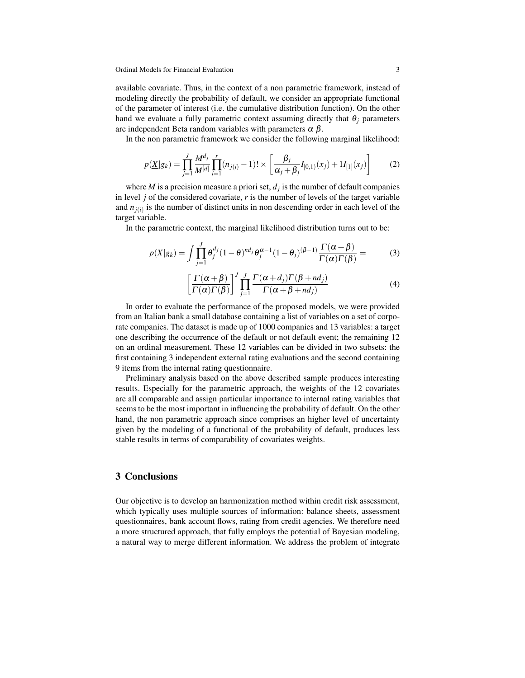available covariate. Thus, in the context of a non parametric framework, instead of modeling directly the probability of default, we consider an appropriate functional of the parameter of interest (i.e. the cumulative distribution function). On the other hand we evaluate a fully parametric context assuming directly that  $\theta_i$  parameters are independent Beta random variables with parameters  $\alpha \beta$ .

In the non parametric framework we consider the following marginal likelihood:

$$
p(\underline{X}|g_k) = \prod_{j=1}^{J} \frac{M^{d_j}}{M^{[d]}} \prod_{i=1}^{r} (n_{j(i)} - 1)! \times \left[ \frac{\beta_j}{\alpha_j + \beta_j} I_{[0,1)}(x_j) + 1 I_{[1]}(x_j) \right]
$$
(2)

where *M* is a precision measure a priori set,  $d_i$  is the number of default companies in level *j* of the considered covariate, *r* is the number of levels of the target variable and  $n_{i(i)}$  is the number of distinct units in non descending order in each level of the target variable.

In the parametric context, the marginal likelihood distribution turns out to be:

$$
p(\underline{X}|g_k) = \int \prod_{j=1}^{J} \theta_j^{d_j} (1-\theta)^{nd_j} \theta_j^{\alpha-1} (1-\theta_j)^{(\beta-1)} \frac{\Gamma(\alpha+\beta)}{\Gamma(\alpha)\Gamma(\beta)} =
$$
(3)

$$
\left[\frac{\Gamma(\alpha+\beta)}{\Gamma(\alpha)\Gamma(\beta)}\right]^J \prod_{j=1}^J \frac{\Gamma(\alpha+d_j)\Gamma(\beta+nd_j)}{\Gamma(\alpha+\beta+nd_j)}
$$
(4)

In order to evaluate the performance of the proposed models, we were provided from an Italian bank a small database containing a list of variables on a set of corporate companies. The dataset is made up of 1000 companies and 13 variables: a target one describing the occurrence of the default or not default event; the remaining 12 on an ordinal measurement. These 12 variables can be divided in two subsets: the first containing 3 independent external rating evaluations and the second containing 9 items from the internal rating questionnaire.

Preliminary analysis based on the above described sample produces interesting results. Especially for the parametric approach, the weights of the 12 covariates are all comparable and assign particular importance to internal rating variables that seems to be the most important in influencing the probability of default. On the other hand, the non parametric approach since comprises an higher level of uncertainty given by the modeling of a functional of the probability of default, produces less stable results in terms of comparability of covariates weights.

### 3 Conclusions

Our objective is to develop an harmonization method within credit risk assessment, which typically uses multiple sources of information: balance sheets, assessment questionnaires, bank account flows, rating from credit agencies. We therefore need a more structured approach, that fully employs the potential of Bayesian modeling, a natural way to merge different information. We address the problem of integrate